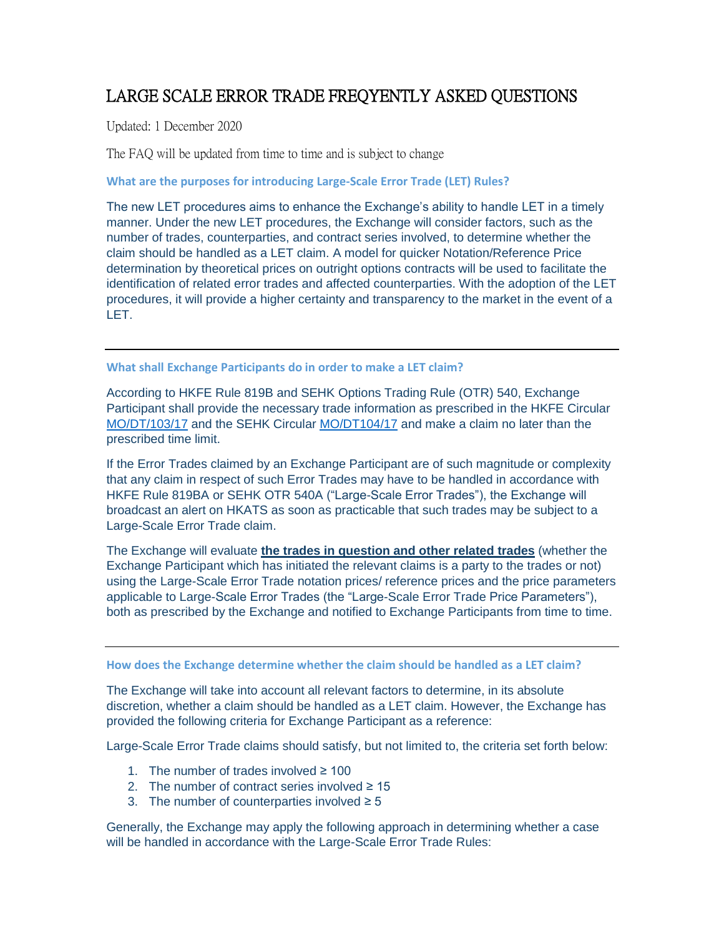## LARGE SCALE ERROR TRADE FREQYENTLY ASKED QUESTIONS

Updated: 1 December 2020

The FAQ will be updated from time to time and is subject to change

**What are the purposes for introducing Large-Scale Error Trade (LET) Rules?**

The new LET procedures aims to enhance the Exchange's ability to handle LET in a timely manner. Under the new LET procedures, the Exchange will consider factors, such as the number of trades, counterparties, and contract series involved, to determine whether the claim should be handled as a LET claim. A model for quicker Notation/Reference Price determination by theoretical prices on outright options contracts will be used to facilitate the identification of related error trades and affected counterparties. With the adoption of the LET procedures, it will provide a higher certainty and transparency to the market in the event of a LET.

**What shall Exchange Participants do in order to make a LET claim?**

According to HKFE Rule 819B and SEHK Options Trading Rule (OTR) 540, Exchange Participant shall provide the necessary trade information as prescribed in the HKFE Circular [MO/DT/103/17](https://www.hkex.com.hk/-/media/HKEX-Market/Services/Circulars-and-Notices/Participant-and-Members-Circulars/HKFE/2017/MO_DT_103_17_e.pdf) and the SEHK Circular [MO/DT104/17](https://www.hkex.com.hk/-/media/HKEX-Market/Services/Circulars-and-Notices/Participant-and-Members-Circulars/SEHK/2017/MO_DT_104_17_e.pdf) and make a claim no later than the prescribed time limit.

If the Error Trades claimed by an Exchange Participant are of such magnitude or complexity that any claim in respect of such Error Trades may have to be handled in accordance with HKFE Rule 819BA or SEHK OTR 540A ("Large-Scale Error Trades"), the Exchange will broadcast an alert on HKATS as soon as practicable that such trades may be subject to a Large-Scale Error Trade claim.

The Exchange will evaluate **the trades in question and other related trades** (whether the Exchange Participant which has initiated the relevant claims is a party to the trades or not) using the Large-Scale Error Trade notation prices/ reference prices and the price parameters applicable to Large-Scale Error Trades (the "Large-Scale Error Trade Price Parameters"), both as prescribed by the Exchange and notified to Exchange Participants from time to time.

**How does the Exchange determine whether the claim should be handled as a LET claim?**

The Exchange will take into account all relevant factors to determine, in its absolute discretion, whether a claim should be handled as a LET claim. However, the Exchange has provided the following criteria for Exchange Participant as a reference:

Large-Scale Error Trade claims should satisfy, but not limited to, the criteria set forth below:

- 1. The number of trades involved ≥ 100
- 2. The number of contract series involved  $\geq 15$
- 3. The number of counterparties involved  $\geq 5$

Generally, the Exchange may apply the following approach in determining whether a case will be handled in accordance with the Large-Scale Error Trade Rules: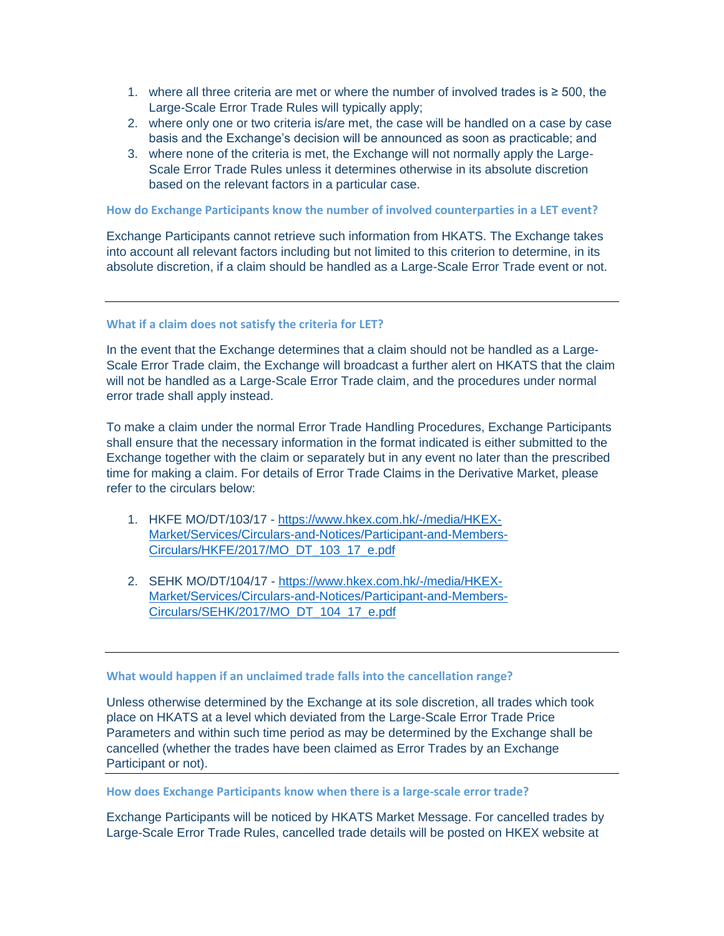- 1. where all three criteria are met or where the number of involved trades is ≥ 500, the Large-Scale Error Trade Rules will typically apply;
- 2. where only one or two criteria is/are met, the case will be handled on a case by case basis and the Exchange's decision will be announced as soon as practicable; and
- 3. where none of the criteria is met, the Exchange will not normally apply the Large-Scale Error Trade Rules unless it determines otherwise in its absolute discretion based on the relevant factors in a particular case.

**How do Exchange Participants know the number of involved counterparties in a LET event?**

Exchange Participants cannot retrieve such information from HKATS. The Exchange takes into account all relevant factors including but not limited to this criterion to determine, in its absolute discretion, if a claim should be handled as a Large-Scale Error Trade event or not.

## **What if a claim does not satisfy the criteria for LET?**

In the event that the Exchange determines that a claim should not be handled as a Large-Scale Error Trade claim, the Exchange will broadcast a further alert on HKATS that the claim will not be handled as a Large-Scale Error Trade claim, and the procedures under normal error trade shall apply instead.

To make a claim under the normal Error Trade Handling Procedures, Exchange Participants shall ensure that the necessary information in the format indicated is either submitted to the Exchange together with the claim or separately but in any event no later than the prescribed time for making a claim. For details of Error Trade Claims in the Derivative Market, please refer to the circulars below:

- 1. HKFE MO/DT/103/17 [https://www.hkex.com.hk/-/media/HKEX-](https://www.hkex.com.hk/-/media/HKEX-Market/Services/Circulars-and-Notices/Participant-and-Members-Circulars/HKFE/2017/MO_DT_103_17_e.pdf)[Market/Services/Circulars-and-Notices/Participant-and-Members-](https://www.hkex.com.hk/-/media/HKEX-Market/Services/Circulars-and-Notices/Participant-and-Members-Circulars/HKFE/2017/MO_DT_103_17_e.pdf)[Circulars/HKFE/2017/MO\\_DT\\_103\\_17\\_e.pdf](https://www.hkex.com.hk/-/media/HKEX-Market/Services/Circulars-and-Notices/Participant-and-Members-Circulars/HKFE/2017/MO_DT_103_17_e.pdf)
- 2. SEHK MO/DT/104/17 [https://www.hkex.com.hk/-/media/HKEX-](https://www.hkex.com.hk/-/media/HKEX-Market/Services/Circulars-and-Notices/Participant-and-Members-Circulars/SEHK/2017/MO_DT_104_17_e.pdf)[Market/Services/Circulars-and-Notices/Participant-and-Members-](https://www.hkex.com.hk/-/media/HKEX-Market/Services/Circulars-and-Notices/Participant-and-Members-Circulars/SEHK/2017/MO_DT_104_17_e.pdf)[Circulars/SEHK/2017/MO\\_DT\\_104\\_17\\_e.pdf](https://www.hkex.com.hk/-/media/HKEX-Market/Services/Circulars-and-Notices/Participant-and-Members-Circulars/SEHK/2017/MO_DT_104_17_e.pdf)

## **What would happen if an unclaimed trade falls into the cancellation range?**

Unless otherwise determined by the Exchange at its sole discretion, all trades which took place on HKATS at a level which deviated from the Large-Scale Error Trade Price Parameters and within such time period as may be determined by the Exchange shall be cancelled (whether the trades have been claimed as Error Trades by an Exchange Participant or not).

**How does Exchange Participants know when there is a large-scale error trade?**

Exchange Participants will be noticed by HKATS Market Message. For cancelled trades by Large-Scale Error Trade Rules, cancelled trade details will be posted on HKEX website at